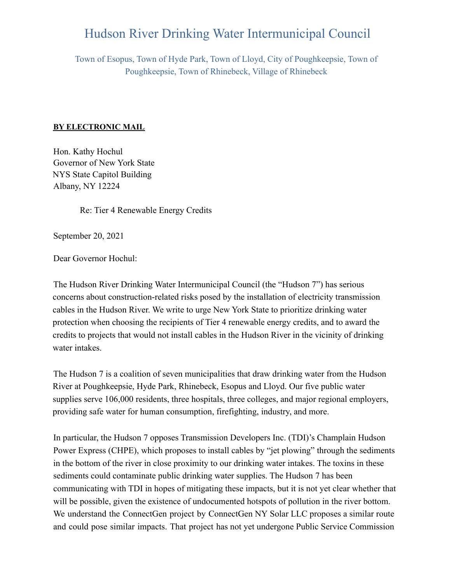## Hudson River Drinking Water Intermunicipal Council

Town of Esopus, Town of Hyde Park, Town of Lloyd, City of Poughkeepsie, Town of Poughkeepsie, Town of Rhinebeck, Village of Rhinebeck

## **BY ELECTRONIC MAIL**

Hon. Kathy Hochul Governor of New York State NYS State Capitol Building Albany, NY 12224

Re: Tier 4 Renewable Energy Credits

September 20, 2021

Dear Governor Hochul:

The Hudson River Drinking Water Intermunicipal Council (the "Hudson 7") has serious concerns about construction-related risks posed by the installation of electricity transmission cables in the Hudson River. We write to urge New York State to prioritize drinking water protection when choosing the recipients of Tier 4 renewable energy credits, and to award the credits to projects that would not install cables in the Hudson River in the vicinity of drinking water intakes.

The Hudson 7 is a coalition of seven municipalities that draw drinking water from the Hudson River at Poughkeepsie, Hyde Park, Rhinebeck, Esopus and Lloyd. Our five public water supplies serve 106,000 residents, three hospitals, three colleges, and major regional employers, providing safe water for human consumption, firefighting, industry, and more.

In particular, the Hudson 7 opposes Transmission Developers Inc. (TDI)'s Champlain Hudson Power Express (CHPE), which proposes to install cables by "jet plowing" through the sediments in the bottom of the river in close proximity to our drinking water intakes. The toxins in these sediments could contaminate public drinking water supplies. The Hudson 7 has been communicating with TDI in hopes of mitigating these impacts, but it is not yet clear whether that will be possible, given the existence of undocumented hotspots of pollution in the river bottom. We understand the ConnectGen project by ConnectGen NY Solar LLC proposes a similar route and could pose similar impacts. That project has not yet undergone Public Service Commission